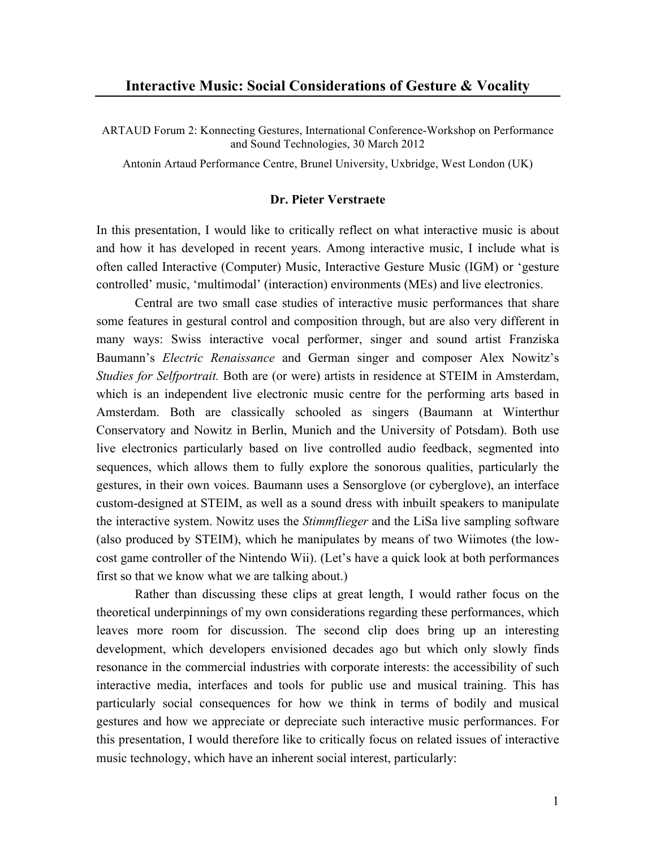ARTAUD Forum 2: Konnecting Gestures, International Conference-Workshop on Performance and Sound Technologies, 30 March 2012

Antonin Artaud Performance Centre, Brunel University, Uxbridge, West London (UK)

### **Dr. Pieter Verstraete**

In this presentation, I would like to critically reflect on what interactive music is about and how it has developed in recent years. Among interactive music, I include what is often called Interactive (Computer) Music, Interactive Gesture Music (IGM) or 'gesture controlled' music, 'multimodal' (interaction) environments (MEs) and live electronics.

Central are two small case studies of interactive music performances that share some features in gestural control and composition through, but are also very different in many ways: Swiss interactive vocal performer, singer and sound artist Franziska Baumann's *Electric Renaissance* and German singer and composer Alex Nowitz's *Studies for Selfportrait.* Both are (or were) artists in residence at STEIM in Amsterdam, which is an independent live electronic music centre for the performing arts based in Amsterdam. Both are classically schooled as singers (Baumann at Winterthur Conservatory and Nowitz in Berlin, Munich and the University of Potsdam). Both use live electronics particularly based on live controlled audio feedback, segmented into sequences, which allows them to fully explore the sonorous qualities, particularly the gestures, in their own voices. Baumann uses a Sensorglove (or cyberglove), an interface custom-designed at STEIM, as well as a sound dress with inbuilt speakers to manipulate the interactive system. Nowitz uses the *Stimmflieger* and the LiSa live sampling software (also produced by STEIM), which he manipulates by means of two Wiimotes (the lowcost game controller of the Nintendo Wii). (Let's have a quick look at both performances first so that we know what we are talking about.)

Rather than discussing these clips at great length, I would rather focus on the theoretical underpinnings of my own considerations regarding these performances, which leaves more room for discussion. The second clip does bring up an interesting development, which developers envisioned decades ago but which only slowly finds resonance in the commercial industries with corporate interests: the accessibility of such interactive media, interfaces and tools for public use and musical training. This has particularly social consequences for how we think in terms of bodily and musical gestures and how we appreciate or depreciate such interactive music performances. For this presentation, I would therefore like to critically focus on related issues of interactive music technology, which have an inherent social interest, particularly: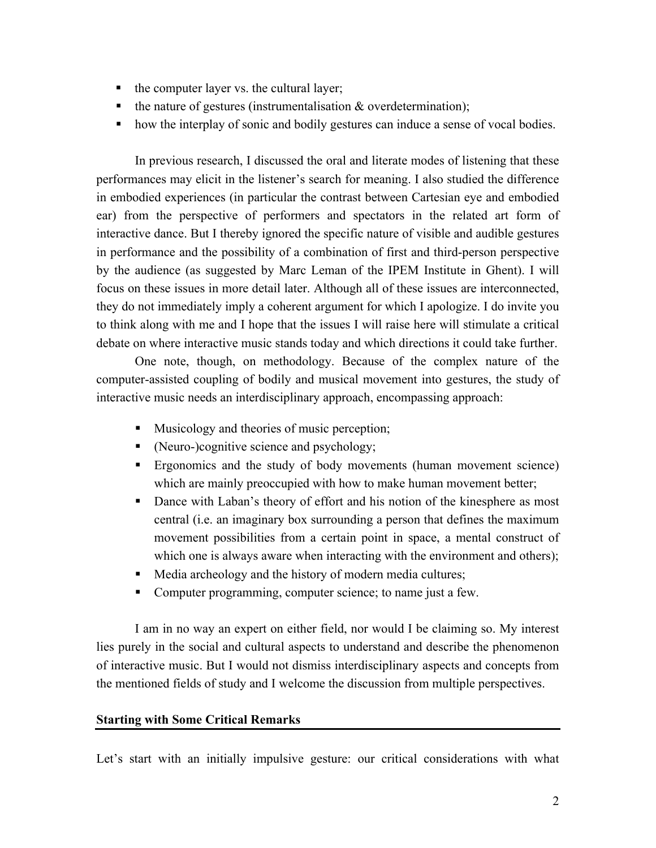- the computer layer vs. the cultural layer;
- $\blacksquare$  the nature of gestures (instrumentalisation & overdetermination);
- how the interplay of sonic and bodily gestures can induce a sense of vocal bodies.

In previous research, I discussed the oral and literate modes of listening that these performances may elicit in the listener's search for meaning. I also studied the difference in embodied experiences (in particular the contrast between Cartesian eye and embodied ear) from the perspective of performers and spectators in the related art form of interactive dance. But I thereby ignored the specific nature of visible and audible gestures in performance and the possibility of a combination of first and third-person perspective by the audience (as suggested by Marc Leman of the IPEM Institute in Ghent). I will focus on these issues in more detail later. Although all of these issues are interconnected, they do not immediately imply a coherent argument for which I apologize. I do invite you to think along with me and I hope that the issues I will raise here will stimulate a critical debate on where interactive music stands today and which directions it could take further.

One note, though, on methodology. Because of the complex nature of the computer-assisted coupling of bodily and musical movement into gestures, the study of interactive music needs an interdisciplinary approach, encompassing approach:

- Musicology and theories of music perception;
- (Neuro-)cognitive science and psychology;
- § Ergonomics and the study of body movements (human movement science) which are mainly preoccupied with how to make human movement better;
- Dance with Laban's theory of effort and his notion of the kinesphere as most central (i.e. an imaginary box surrounding a person that defines the maximum movement possibilities from a certain point in space, a mental construct of which one is always aware when interacting with the environment and others);
- Media archeology and the history of modern media cultures;
- Computer programming, computer science; to name just a few.

I am in no way an expert on either field, nor would I be claiming so. My interest lies purely in the social and cultural aspects to understand and describe the phenomenon of interactive music. But I would not dismiss interdisciplinary aspects and concepts from the mentioned fields of study and I welcome the discussion from multiple perspectives.

### **Starting with Some Critical Remarks**

Let's start with an initially impulsive gesture: our critical considerations with what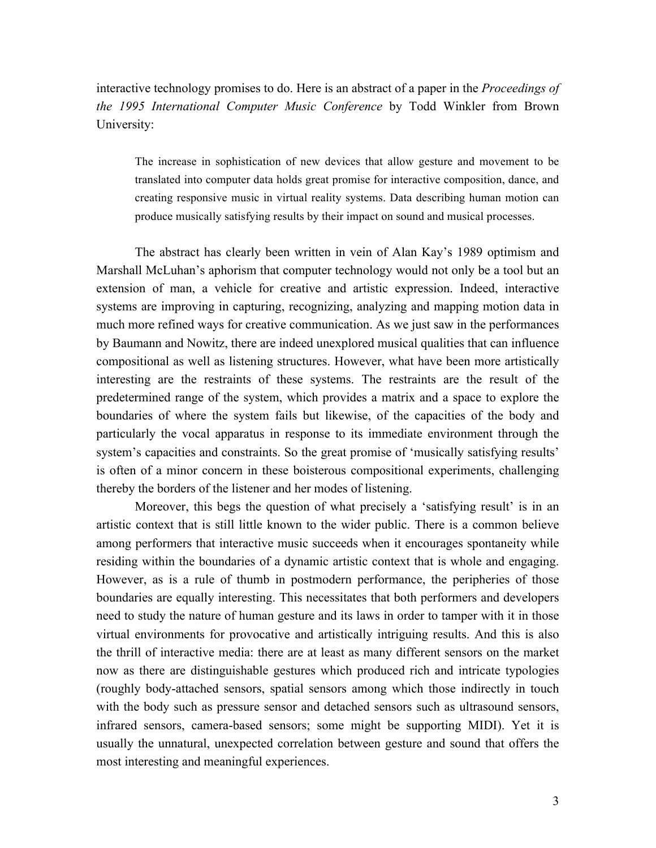interactive technology promises to do. Here is an abstract of a paper in the *Proceedings of the 1995 International Computer Music Conference* by Todd Winkler from Brown University:

The increase in sophistication of new devices that allow gesture and movement to be translated into computer data holds great promise for interactive composition, dance, and creating responsive music in virtual reality systems. Data describing human motion can produce musically satisfying results by their impact on sound and musical processes.

The abstract has clearly been written in vein of Alan Kay's 1989 optimism and Marshall McLuhan's aphorism that computer technology would not only be a tool but an extension of man, a vehicle for creative and artistic expression. Indeed, interactive systems are improving in capturing, recognizing, analyzing and mapping motion data in much more refined ways for creative communication. As we just saw in the performances by Baumann and Nowitz, there are indeed unexplored musical qualities that can influence compositional as well as listening structures. However, what have been more artistically interesting are the restraints of these systems. The restraints are the result of the predetermined range of the system, which provides a matrix and a space to explore the boundaries of where the system fails but likewise, of the capacities of the body and particularly the vocal apparatus in response to its immediate environment through the system's capacities and constraints. So the great promise of 'musically satisfying results' is often of a minor concern in these boisterous compositional experiments, challenging thereby the borders of the listener and her modes of listening.

Moreover, this begs the question of what precisely a 'satisfying result' is in an artistic context that is still little known to the wider public. There is a common believe among performers that interactive music succeeds when it encourages spontaneity while residing within the boundaries of a dynamic artistic context that is whole and engaging. However, as is a rule of thumb in postmodern performance, the peripheries of those boundaries are equally interesting. This necessitates that both performers and developers need to study the nature of human gesture and its laws in order to tamper with it in those virtual environments for provocative and artistically intriguing results. And this is also the thrill of interactive media: there are at least as many different sensors on the market now as there are distinguishable gestures which produced rich and intricate typologies (roughly body-attached sensors, spatial sensors among which those indirectly in touch with the body such as pressure sensor and detached sensors such as ultrasound sensors, infrared sensors, camera-based sensors; some might be supporting MIDI). Yet it is usually the unnatural, unexpected correlation between gesture and sound that offers the most interesting and meaningful experiences.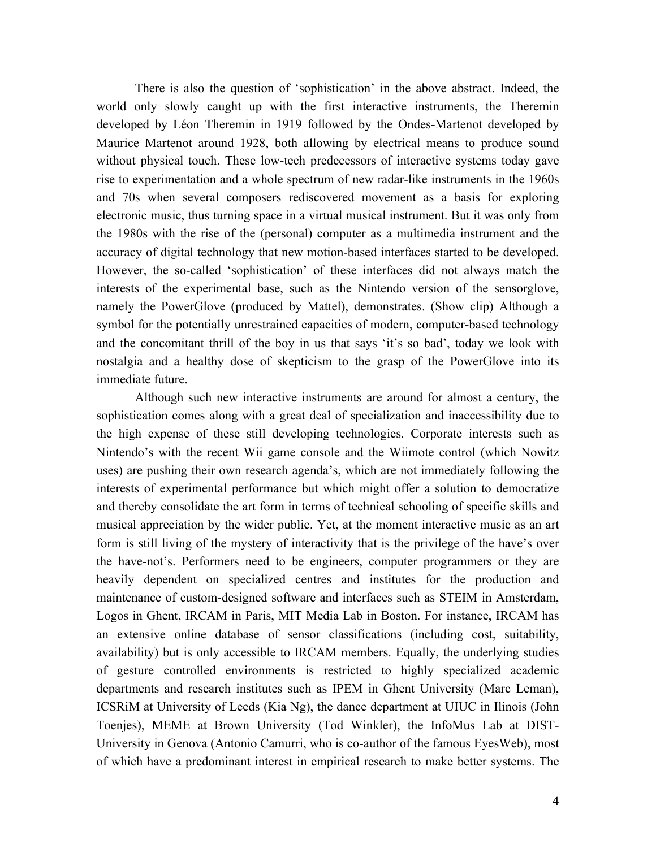There is also the question of 'sophistication' in the above abstract. Indeed, the world only slowly caught up with the first interactive instruments, the Theremin developed by Léon Theremin in 1919 followed by the Ondes-Martenot developed by Maurice Martenot around 1928, both allowing by electrical means to produce sound without physical touch. These low-tech predecessors of interactive systems today gave rise to experimentation and a whole spectrum of new radar-like instruments in the 1960s and 70s when several composers rediscovered movement as a basis for exploring electronic music, thus turning space in a virtual musical instrument. But it was only from the 1980s with the rise of the (personal) computer as a multimedia instrument and the accuracy of digital technology that new motion-based interfaces started to be developed. However, the so-called 'sophistication' of these interfaces did not always match the interests of the experimental base, such as the Nintendo version of the sensorglove, namely the PowerGlove (produced by Mattel), demonstrates. (Show clip) Although a symbol for the potentially unrestrained capacities of modern, computer-based technology and the concomitant thrill of the boy in us that says 'it's so bad', today we look with nostalgia and a healthy dose of skepticism to the grasp of the PowerGlove into its immediate future.

Although such new interactive instruments are around for almost a century, the sophistication comes along with a great deal of specialization and inaccessibility due to the high expense of these still developing technologies. Corporate interests such as Nintendo's with the recent Wii game console and the Wiimote control (which Nowitz uses) are pushing their own research agenda's, which are not immediately following the interests of experimental performance but which might offer a solution to democratize and thereby consolidate the art form in terms of technical schooling of specific skills and musical appreciation by the wider public. Yet, at the moment interactive music as an art form is still living of the mystery of interactivity that is the privilege of the have's over the have-not's. Performers need to be engineers, computer programmers or they are heavily dependent on specialized centres and institutes for the production and maintenance of custom-designed software and interfaces such as STEIM in Amsterdam, Logos in Ghent, IRCAM in Paris, MIT Media Lab in Boston. For instance, IRCAM has an extensive online database of sensor classifications (including cost, suitability, availability) but is only accessible to IRCAM members. Equally, the underlying studies of gesture controlled environments is restricted to highly specialized academic departments and research institutes such as IPEM in Ghent University (Marc Leman), ICSRiM at University of Leeds (Kia Ng), the dance department at UIUC in Ilinois (John Toenjes), MEME at Brown University (Tod Winkler), the InfoMus Lab at DIST-University in Genova (Antonio Camurri, who is co-author of the famous EyesWeb), most of which have a predominant interest in empirical research to make better systems. The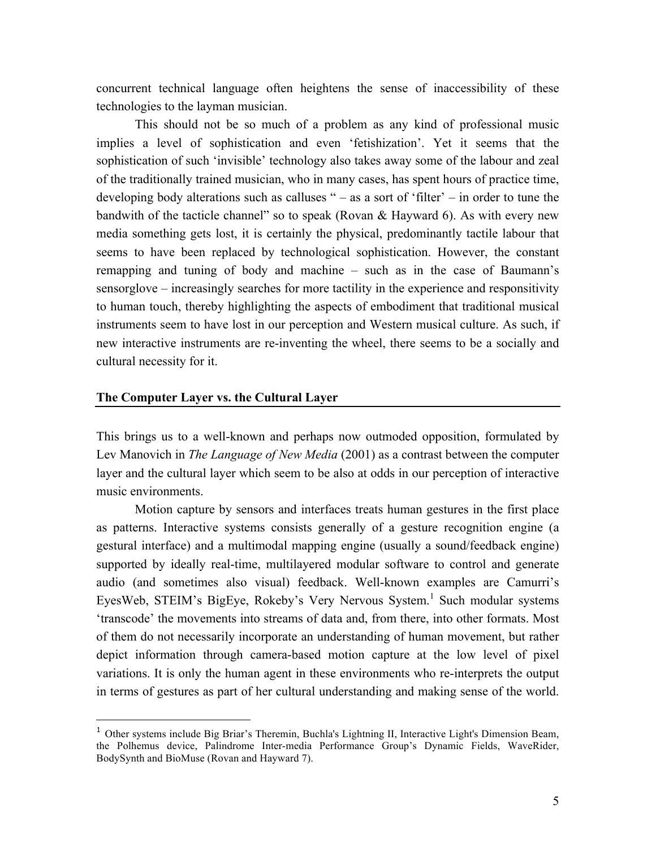concurrent technical language often heightens the sense of inaccessibility of these technologies to the layman musician.

This should not be so much of a problem as any kind of professional music implies a level of sophistication and even 'fetishization'. Yet it seems that the sophistication of such 'invisible' technology also takes away some of the labour and zeal of the traditionally trained musician, who in many cases, has spent hours of practice time, developing body alterations such as calluses " – as a sort of 'filter' – in order to tune the bandwith of the tacticle channel" so to speak (Rovan & Hayward 6). As with every new media something gets lost, it is certainly the physical, predominantly tactile labour that seems to have been replaced by technological sophistication. However, the constant remapping and tuning of body and machine – such as in the case of Baumann's sensorglove – increasingly searches for more tactility in the experience and responsitivity to human touch, thereby highlighting the aspects of embodiment that traditional musical instruments seem to have lost in our perception and Western musical culture. As such, if new interactive instruments are re-inventing the wheel, there seems to be a socially and cultural necessity for it.

### **The Computer Layer vs. the Cultural Layer**

 $\overline{a}$ 

This brings us to a well-known and perhaps now outmoded opposition, formulated by Lev Manovich in *The Language of New Media* (2001) as a contrast between the computer layer and the cultural layer which seem to be also at odds in our perception of interactive music environments.

Motion capture by sensors and interfaces treats human gestures in the first place as patterns. Interactive systems consists generally of a gesture recognition engine (a gestural interface) and a multimodal mapping engine (usually a sound/feedback engine) supported by ideally real-time, multilayered modular software to control and generate audio (and sometimes also visual) feedback. Well-known examples are Camurri's EyesWeb, STEIM's BigEye, Rokeby's Very Nervous System.<sup>1</sup> Such modular systems 'transcode' the movements into streams of data and, from there, into other formats. Most of them do not necessarily incorporate an understanding of human movement, but rather depict information through camera-based motion capture at the low level of pixel variations. It is only the human agent in these environments who re-interprets the output in terms of gestures as part of her cultural understanding and making sense of the world.

<sup>&</sup>lt;sup>1</sup> Other systems include Big Briar's Theremin, Buchla's Lightning II, Interactive Light's Dimension Beam, the Polhemus device, Palindrome Inter-media Performance Group's Dynamic Fields, WaveRider, BodySynth and BioMuse (Rovan and Hayward 7).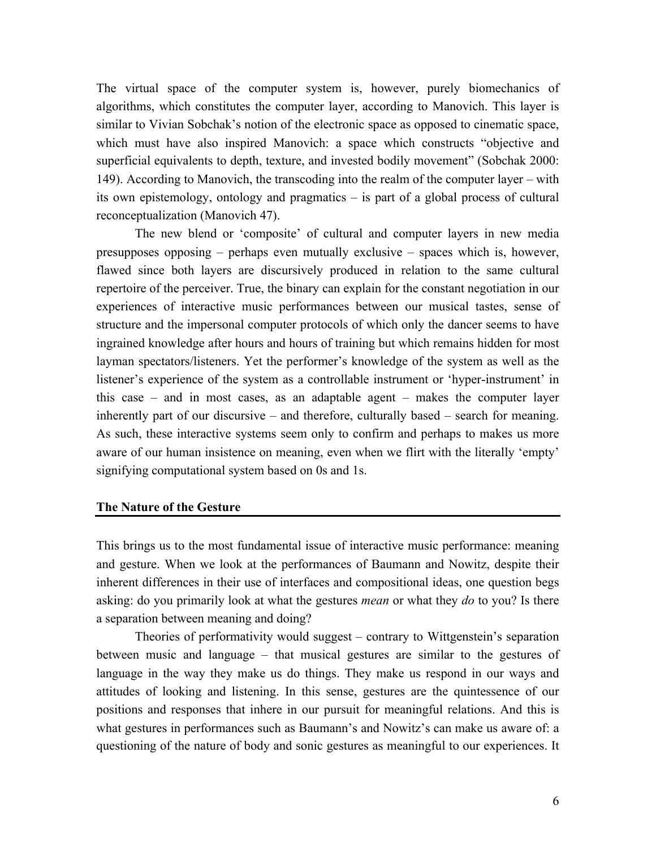The virtual space of the computer system is, however, purely biomechanics of algorithms, which constitutes the computer layer, according to Manovich. This layer is similar to Vivian Sobchak's notion of the electronic space as opposed to cinematic space, which must have also inspired Manovich: a space which constructs "objective and superficial equivalents to depth, texture, and invested bodily movement" (Sobchak 2000: 149). According to Manovich, the transcoding into the realm of the computer layer – with its own epistemology, ontology and pragmatics – is part of a global process of cultural reconceptualization (Manovich 47).

The new blend or 'composite' of cultural and computer layers in new media presupposes opposing – perhaps even mutually exclusive – spaces which is, however, flawed since both layers are discursively produced in relation to the same cultural repertoire of the perceiver. True, the binary can explain for the constant negotiation in our experiences of interactive music performances between our musical tastes, sense of structure and the impersonal computer protocols of which only the dancer seems to have ingrained knowledge after hours and hours of training but which remains hidden for most layman spectators/listeners. Yet the performer's knowledge of the system as well as the listener's experience of the system as a controllable instrument or 'hyper-instrument' in this case – and in most cases, as an adaptable agent – makes the computer layer inherently part of our discursive – and therefore, culturally based – search for meaning. As such, these interactive systems seem only to confirm and perhaps to makes us more aware of our human insistence on meaning, even when we flirt with the literally 'empty' signifying computational system based on 0s and 1s.

# **The Nature of the Gesture**

This brings us to the most fundamental issue of interactive music performance: meaning and gesture. When we look at the performances of Baumann and Nowitz, despite their inherent differences in their use of interfaces and compositional ideas, one question begs asking: do you primarily look at what the gestures *mean* or what they *do* to you? Is there a separation between meaning and doing?

Theories of performativity would suggest – contrary to Wittgenstein's separation between music and language – that musical gestures are similar to the gestures of language in the way they make us do things. They make us respond in our ways and attitudes of looking and listening. In this sense, gestures are the quintessence of our positions and responses that inhere in our pursuit for meaningful relations. And this is what gestures in performances such as Baumann's and Nowitz's can make us aware of: a questioning of the nature of body and sonic gestures as meaningful to our experiences. It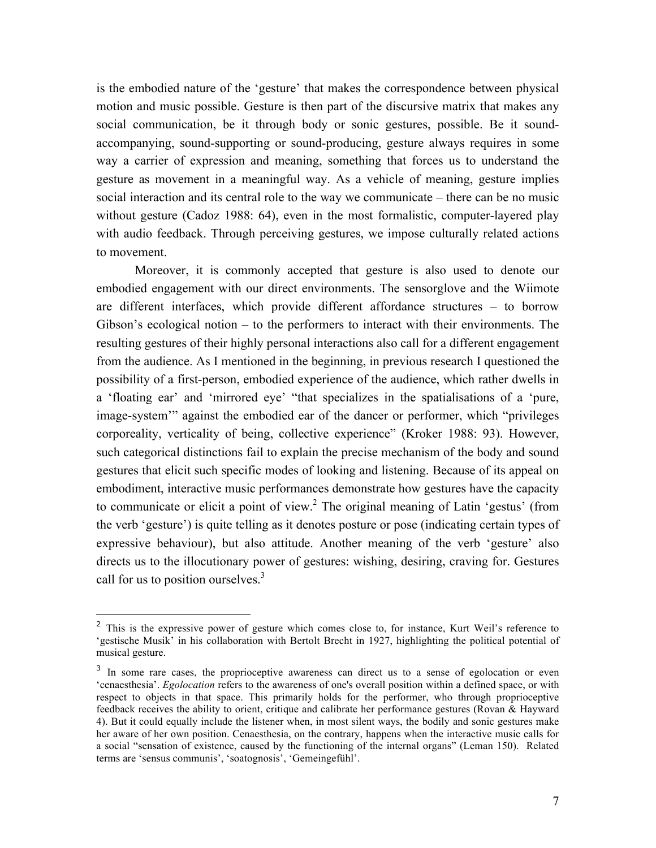is the embodied nature of the 'gesture' that makes the correspondence between physical motion and music possible. Gesture is then part of the discursive matrix that makes any social communication, be it through body or sonic gestures, possible. Be it soundaccompanying, sound-supporting or sound-producing, gesture always requires in some way a carrier of expression and meaning, something that forces us to understand the gesture as movement in a meaningful way. As a vehicle of meaning, gesture implies social interaction and its central role to the way we communicate – there can be no music without gesture (Cadoz 1988: 64), even in the most formalistic, computer-layered play with audio feedback. Through perceiving gestures, we impose culturally related actions to movement.

Moreover, it is commonly accepted that gesture is also used to denote our embodied engagement with our direct environments. The sensorglove and the Wiimote are different interfaces, which provide different affordance structures – to borrow Gibson's ecological notion – to the performers to interact with their environments. The resulting gestures of their highly personal interactions also call for a different engagement from the audience. As I mentioned in the beginning, in previous research I questioned the possibility of a first-person, embodied experience of the audience, which rather dwells in a 'floating ear' and 'mirrored eye' "that specializes in the spatialisations of a 'pure, image-system'" against the embodied ear of the dancer or performer, which "privileges corporeality, verticality of being, collective experience" (Kroker 1988: 93). However, such categorical distinctions fail to explain the precise mechanism of the body and sound gestures that elicit such specific modes of looking and listening. Because of its appeal on embodiment, interactive music performances demonstrate how gestures have the capacity to communicate or elicit a point of view.<sup>2</sup> The original meaning of Latin 'gestus' (from the verb 'gesture') is quite telling as it denotes posture or pose (indicating certain types of expressive behaviour), but also attitude. Another meaning of the verb 'gesture' also directs us to the illocutionary power of gestures: wishing, desiring, craving for. Gestures call for us to position ourselves. $3$ 

 $\overline{a}$ 

<sup>&</sup>lt;sup>2</sup> This is the expressive power of gesture which comes close to, for instance, Kurt Weil's reference to 'gestische Musik' in his collaboration with Bertolt Brecht in 1927, highlighting the political potential of musical gesture.

<sup>&</sup>lt;sup>3</sup> In some rare cases, the proprioceptive awareness can direct us to a sense of egolocation or even 'cenaesthesia'. *Egolocation* refers to the awareness of one's overall position within a defined space, or with respect to objects in that space. This primarily holds for the performer, who through proprioceptive feedback receives the ability to orient, critique and calibrate her performance gestures (Rovan & Hayward 4). But it could equally include the listener when, in most silent ways, the bodily and sonic gestures make her aware of her own position. Cenaesthesia, on the contrary, happens when the interactive music calls for a social "sensation of existence, caused by the functioning of the internal organs" (Leman 150). Related terms are 'sensus communis', 'soatognosis', 'Gemeingefühl'.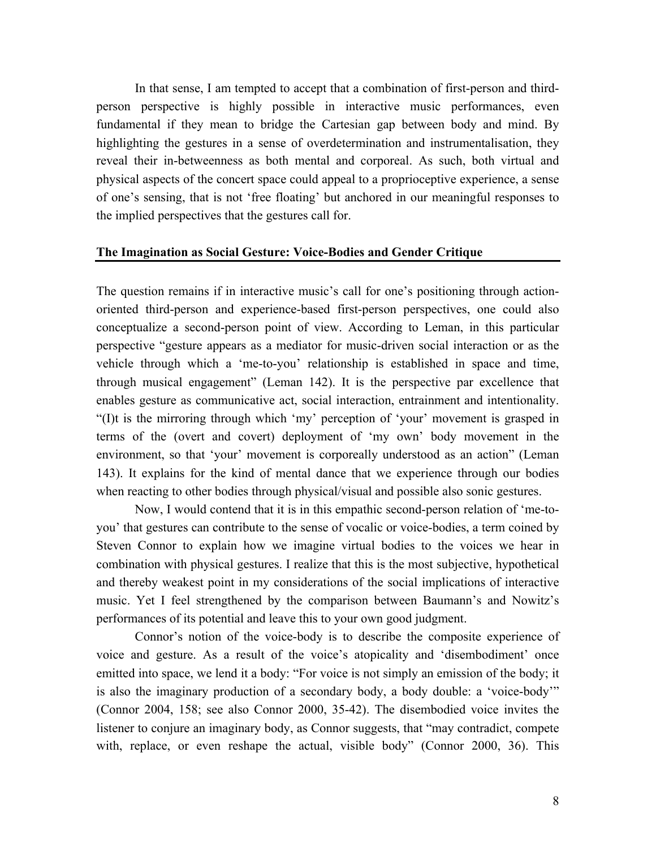In that sense, I am tempted to accept that a combination of first-person and thirdperson perspective is highly possible in interactive music performances, even fundamental if they mean to bridge the Cartesian gap between body and mind. By highlighting the gestures in a sense of overdetermination and instrumentalisation, they reveal their in-betweenness as both mental and corporeal. As such, both virtual and physical aspects of the concert space could appeal to a proprioceptive experience, a sense of one's sensing, that is not 'free floating' but anchored in our meaningful responses to the implied perspectives that the gestures call for.

### **The Imagination as Social Gesture: Voice-Bodies and Gender Critique**

The question remains if in interactive music's call for one's positioning through actionoriented third-person and experience-based first-person perspectives, one could also conceptualize a second-person point of view. According to Leman, in this particular perspective "gesture appears as a mediator for music-driven social interaction or as the vehicle through which a 'me-to-you' relationship is established in space and time, through musical engagement" (Leman 142). It is the perspective par excellence that enables gesture as communicative act, social interaction, entrainment and intentionality. "(I)t is the mirroring through which 'my' perception of 'your' movement is grasped in terms of the (overt and covert) deployment of 'my own' body movement in the environment, so that 'your' movement is corporeally understood as an action" (Leman 143). It explains for the kind of mental dance that we experience through our bodies when reacting to other bodies through physical/visual and possible also sonic gestures.

Now, I would contend that it is in this empathic second-person relation of 'me-toyou' that gestures can contribute to the sense of vocalic or voice-bodies, a term coined by Steven Connor to explain how we imagine virtual bodies to the voices we hear in combination with physical gestures. I realize that this is the most subjective, hypothetical and thereby weakest point in my considerations of the social implications of interactive music. Yet I feel strengthened by the comparison between Baumann's and Nowitz's performances of its potential and leave this to your own good judgment.

Connor's notion of the voice-body is to describe the composite experience of voice and gesture. As a result of the voice's atopicality and 'disembodiment' once emitted into space, we lend it a body: "For voice is not simply an emission of the body; it is also the imaginary production of a secondary body, a body double: a 'voice-body'" (Connor 2004, 158; see also Connor 2000, 35-42). The disembodied voice invites the listener to conjure an imaginary body, as Connor suggests, that "may contradict, compete with, replace, or even reshape the actual, visible body" (Connor 2000, 36). This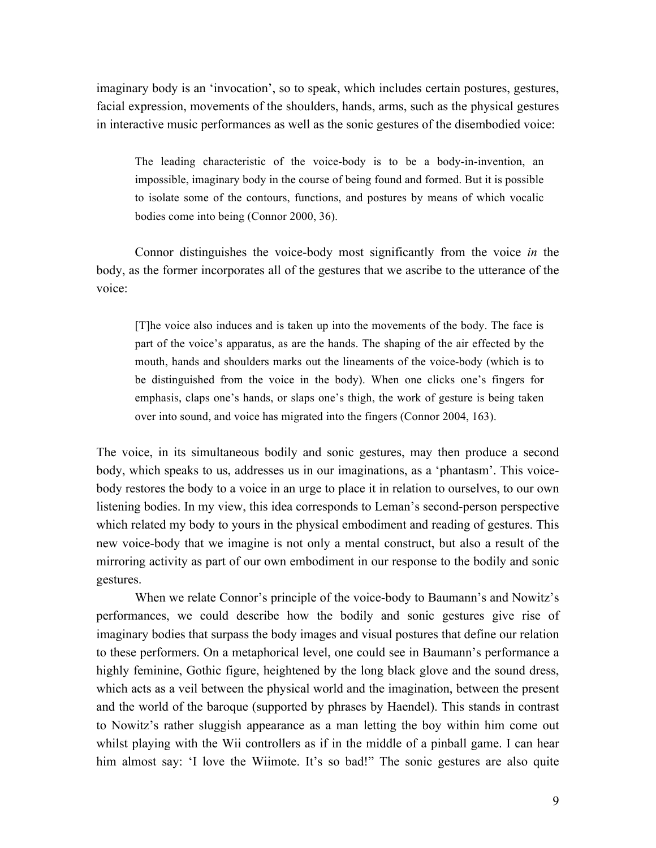imaginary body is an 'invocation', so to speak, which includes certain postures, gestures, facial expression, movements of the shoulders, hands, arms, such as the physical gestures in interactive music performances as well as the sonic gestures of the disembodied voice:

The leading characteristic of the voice-body is to be a body-in-invention, an impossible, imaginary body in the course of being found and formed. But it is possible to isolate some of the contours, functions, and postures by means of which vocalic bodies come into being (Connor 2000, 36).

Connor distinguishes the voice-body most significantly from the voice *in* the body, as the former incorporates all of the gestures that we ascribe to the utterance of the voice:

[T]he voice also induces and is taken up into the movements of the body. The face is part of the voice's apparatus, as are the hands. The shaping of the air effected by the mouth, hands and shoulders marks out the lineaments of the voice-body (which is to be distinguished from the voice in the body). When one clicks one's fingers for emphasis, claps one's hands, or slaps one's thigh, the work of gesture is being taken over into sound, and voice has migrated into the fingers (Connor 2004, 163).

The voice, in its simultaneous bodily and sonic gestures, may then produce a second body, which speaks to us, addresses us in our imaginations, as a 'phantasm'. This voicebody restores the body to a voice in an urge to place it in relation to ourselves, to our own listening bodies. In my view, this idea corresponds to Leman's second-person perspective which related my body to yours in the physical embodiment and reading of gestures. This new voice-body that we imagine is not only a mental construct, but also a result of the mirroring activity as part of our own embodiment in our response to the bodily and sonic gestures.

When we relate Connor's principle of the voice-body to Baumann's and Nowitz's performances, we could describe how the bodily and sonic gestures give rise of imaginary bodies that surpass the body images and visual postures that define our relation to these performers. On a metaphorical level, one could see in Baumann's performance a highly feminine, Gothic figure, heightened by the long black glove and the sound dress, which acts as a veil between the physical world and the imagination, between the present and the world of the baroque (supported by phrases by Haendel). This stands in contrast to Nowitz's rather sluggish appearance as a man letting the boy within him come out whilst playing with the Wii controllers as if in the middle of a pinball game. I can hear him almost say: 'I love the Wiimote. It's so bad!" The sonic gestures are also quite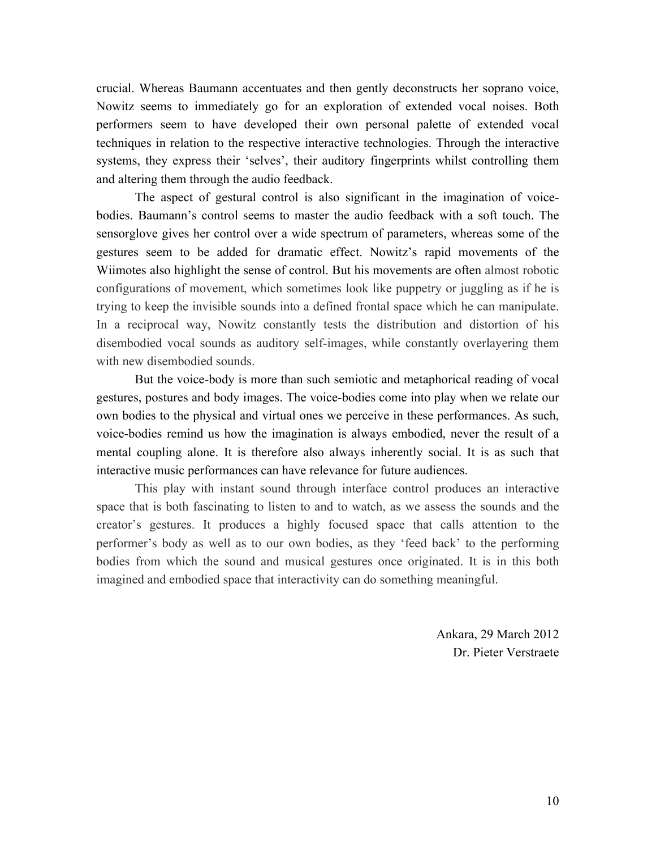crucial. Whereas Baumann accentuates and then gently deconstructs her soprano voice, Nowitz seems to immediately go for an exploration of extended vocal noises. Both performers seem to have developed their own personal palette of extended vocal techniques in relation to the respective interactive technologies. Through the interactive systems, they express their 'selves', their auditory fingerprints whilst controlling them and altering them through the audio feedback.

The aspect of gestural control is also significant in the imagination of voicebodies. Baumann's control seems to master the audio feedback with a soft touch. The sensorglove gives her control over a wide spectrum of parameters, whereas some of the gestures seem to be added for dramatic effect. Nowitz's rapid movements of the Wiimotes also highlight the sense of control. But his movements are often almost robotic configurations of movement, which sometimes look like puppetry or juggling as if he is trying to keep the invisible sounds into a defined frontal space which he can manipulate. In a reciprocal way, Nowitz constantly tests the distribution and distortion of his disembodied vocal sounds as auditory self-images, while constantly overlayering them with new disembodied sounds

But the voice-body is more than such semiotic and metaphorical reading of vocal gestures, postures and body images. The voice-bodies come into play when we relate our own bodies to the physical and virtual ones we perceive in these performances. As such, voice-bodies remind us how the imagination is always embodied, never the result of a mental coupling alone. It is therefore also always inherently social. It is as such that interactive music performances can have relevance for future audiences.

This play with instant sound through interface control produces an interactive space that is both fascinating to listen to and to watch, as we assess the sounds and the creator's gestures. It produces a highly focused space that calls attention to the performer's body as well as to our own bodies, as they 'feed back' to the performing bodies from which the sound and musical gestures once originated. It is in this both imagined and embodied space that interactivity can do something meaningful.

> Ankara, 29 March 2012 Dr. Pieter Verstraete